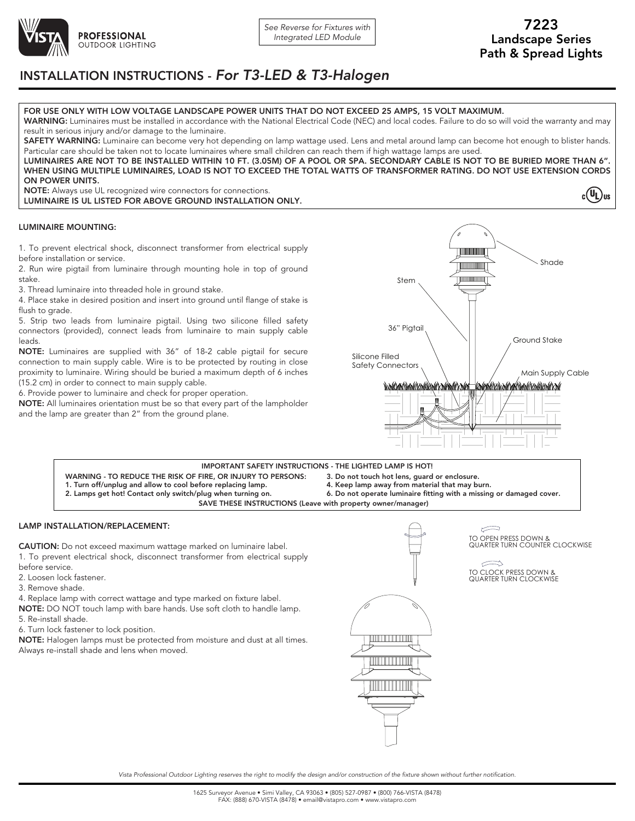

 $c(U_L)$ us

# INSTALLATION INSTRUCTIONS - *For T3-LED & T3-Halogen*

# FOR USE ONLY WITH LOW VOLTAGE LANDSCAPE POWER UNITS THAT DO NOT EXCEED 25 AMPS, 15 VOLT MAXIMUM.

WARNING: Luminaires must be installed in accordance with the National Electrical Code (NEC) and local codes. Failure to do so will void the warranty and may result in serious injury and/or damage to the luminaire.

SAFETY WARNING: Luminaire can become very hot depending on lamp wattage used. Lens and metal around lamp can become hot enough to blister hands. Particular care should be taken not to locate luminaires where small children can reach them if high wattage lamps are used. LUMINAIRES ARE NOT TO BE INSTALLED WITHIN 10 FT. (3.05M) OF A POOL OR SPA. SECONDARY CABLE IS NOT TO BE BURIED MORE THAN 6".

WHEN USING MULTIPLE LUMINAIRES, LOAD IS NOT TO EXCEED THE TOTAL WATTS OF TRANSFORMER RATING. DO NOT USE EXTENSION CORDS ON POWER UNITS.

NOTE: Always use UL recognized wire connectors for connections. LUMINAIRE IS UL LISTED FOR ABOVE GROUND INSTALLATION ONLY.

### LUMINAIRE MOUNTING:

1. To prevent electrical shock, disconnect transformer from electrical supply before installation or service.

2. Run wire pigtail from luminaire through mounting hole in top of ground stake.

3. Thread luminaire into threaded hole in ground stake.

4. Place stake in desired position and insert into ground until flange of stake is flush to grade.

5. Strip two leads from luminaire pigtail. Using two silicone filled safety connectors (provided), connect leads from luminaire to main supply cable leads.

NOTE: Luminaires are supplied with 36" of 18-2 cable pigtail for secure connection to main supply cable. Wire is to be protected by routing in close proximity to luminaire. Wiring should be buried a maximum depth of 6 inches (15.2 cm) in order to connect to main supply cable.

6. Provide power to luminaire and check for proper operation.

NOTE: All luminaires orientation must be so that every part of the lampholder and the lamp are greater than 2" from the ground plane.



#### WARNING - TO REDUCE THE RISK OF FIRE, OR INJURY TO PERSONS: 3. Do not touch hot lens, guard or enclosure. IMPORTANT SAFETY INSTRUCTIONS - THE LIGHTED LAMP IS HOT!

- 1. Turn off/unplug and allow to cool before replacing lamp.
- 2. Lamps get hot! Contact only switch/plug when turning on.
- 4. Keep lamp away from material that may burn.
- 6. Do not operate luminaire fitting with a missing or damaged cover.

SAVE THESE INSTRUCTIONS (Leave with property owner/manager)

LAMP INSTALLATION/REPLACEMENT:

CAUTION: Do not exceed maximum wattage marked on luminaire label.

- 1. To prevent electrical shock, disconnect transformer from electrical supply before service.
- 2. Loosen lock fastener.
- 3. Remove shade.
- 4. Replace lamp with correct wattage and type marked on fixture label.

NOTE: DO NOT touch lamp with bare hands. Use soft cloth to handle lamp.

- 5. Re-install shade.
- 6. Turn lock fastener to lock position.

NOTE: Halogen lamps must be protected from moisture and dust at all times. Always re-install shade and lens when moved.



 $\leftarrow$ TO OPEN PRESS DOWN & QUARTER TURN COUNTER CLOCKWISE

 $\Rightarrow$ TO CLOCK PRESS DOWN & QUARTER TURN CLOCKWISE

*Vista Professional Outdoor Lighting reserves the right to modify the design and/or construction of the fixture shown without further notification.*